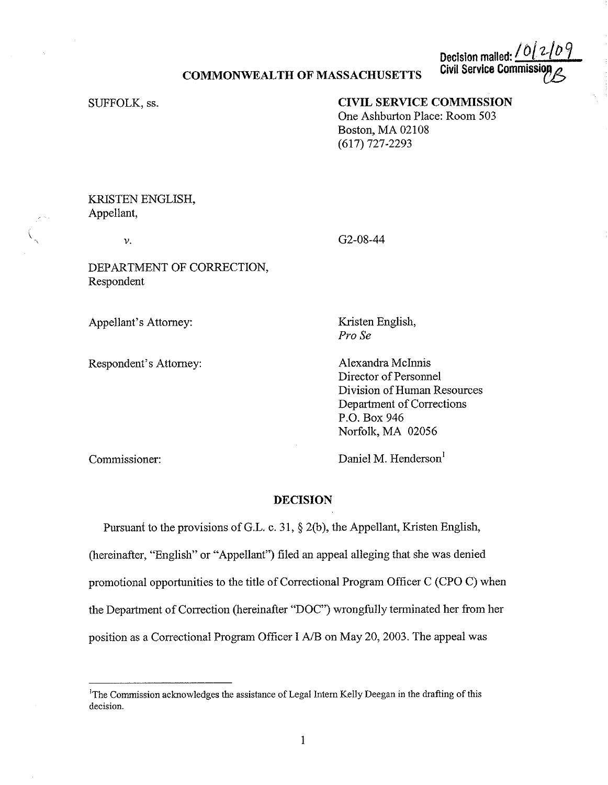## **COMMONWEALTH OF MASSACHUSETTS**

**Decision mailed:** <u>*I*(0)/ 2/ *D*<br>Civil Service Commission</u>

SUFFOLK, ss.

## **CIVIL SERVICE COMMISSION**

One Ashburton Place: Room 503 Boston, MA 02108 (617) 727-2293

## KRISTEN ENGLISH, Appellant,

*v.* 

 $\overline{\phantom{a}}$ 

G2-08-44

DEPARTMENT OF CORRECTION, Respondent

Appellant's Attorney:

Respondent's Attorney:

Kristen English, *Pro Se* 

Alexandra Mclnnis Director of Personnel Division of Human Resources Department of Corrections P.O. Box 946 Norfolk, MA 02056

Commissioner:

Daniel M. Henderson<sup>1</sup>

## **DECISION**

Pursuant to the provisions of G.L. c. 31, § 2(b), the Appellant, Kristen English, (hereinafter, "English" or "Appellant") filed an appeal alleging that she was denied promotional opportunities to the title of Correctional Program Officer C (CPO C) when the Department of Correction (hereinafter "DOC") wrongfully terminated her from her position as a Correctional Program Officer I *NB* on May 20, 2003. The appeal was

<sup>1</sup> The Commission acknowledges the assistance of Legal Intern Kelly Deegan in the drafting of this **decision.**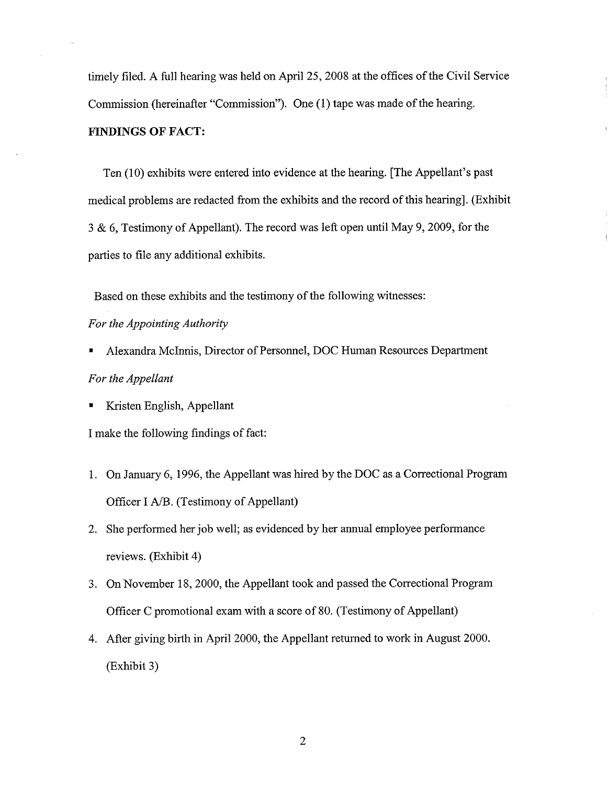timely filed. A full hearing was held on April 25, 2008 at the offices of the Civil Service Commission (hereinafter "Commission"). One (1) tape was made of the hearing. **FINDINGS OF FACT:** 

Ten (10) exhibits were entered into evidence at the hearing. [The Appellant's past medical problems are redacted from the exhibits and the record of this hearing]. (Exhibit 3 & 6, Testimony of Appellant). The record was left open until May 9, 2009, for the parties to file any additional exhibits.

Based on these exhibits and the testimony of the following witnesses:

## *For the Appointing Authority*

• Alexandra Mc Innis, Director of Personnel, DOC Human Resources Department

# *For the Appellant*

• Kristen English, Appellant

I make the following findings of fact:

- 1. On January 6, 1996, the Appellant was hired by the DOC as a Correctional Program Officer I A/B. (Testimony of Appellant)
- 2. She performed her job well; as evidenced by her annual employee performance reviews. (Exhibit 4)
- 3. On November 18, 2000, the Appellant took and passed the Correctional Program Officer C promotional exam with a score of 80. (Testimony of Appellant)
- 4. After giving birth in April 2000, the Appellant returned to work in August 2000. (Exhibit 3)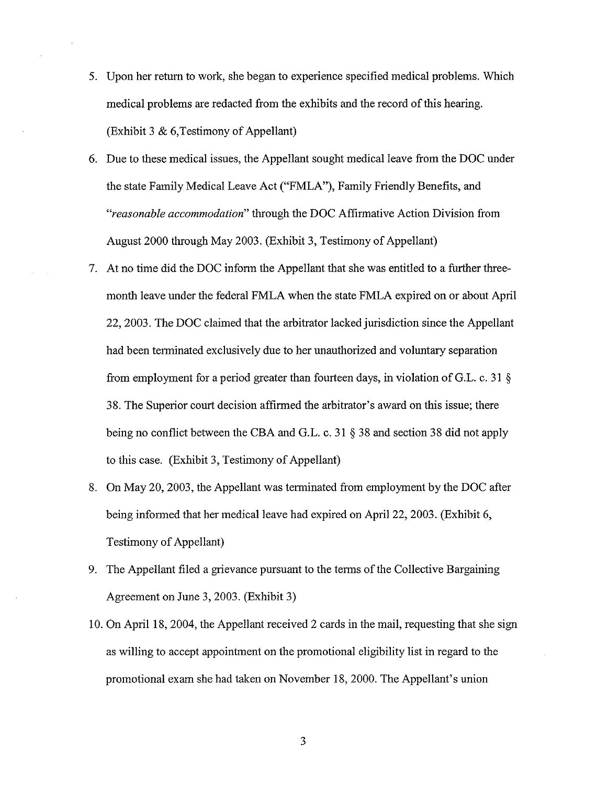- 5. Upon her return to work, she began to experience specified medical problems. Which medical problems are redacted from the exhibits and the record of this hearing. (Exhibit 3 & 6,Testimony of Appellant)
- 6. Due to these medical issues, the Appellant sought medical leave from the DOC under the state Family Medical Leave Act ("FMLA"), Family Friendly Benefits, and *"reasonable accommodation"* through the DOC Affirmative Action Division from August 2000 through May 2003. (Exhibit 3, Testimony of Appellant)
- 7. At no time did the DOC inform the Appellant that she was entitled to a further threemonth leave under the federal FMLA when the state FMLA expired on or about April 22, 2003. The DOC claimed that the arbitrator lacked jurisdiction since the Appellant had been terminated exclusively due to her unauthorized and voluntary separation from employment for a period greater than fourteen days, in violation of G.L. c. 31 § 38. The Superior court decision affirmed the arbitrator's award on this issue; there being no conflict between the CBA and G.L. c. 31 § 38 and section 38 did not apply to this case. (Exhibit 3, Testimony of Appellant)
- 8. On May 20, 2003, the Appellant was terminated from employment by the DOC after being informed that her medical leave had expired on April 22, 2003. (Exhibit 6, Testimony of Appellant)
- 9. The Appellant filed a grievance pursuant to the terms of the Collective Bargaining Agreement on June 3, 2003. (Exhibit 3)
- 10. On April 18, 2004, the Appellant received 2 cards in the mail, requesting that she sign as willing to accept appointment on the promotional eligibility list in regard to the promotional exam she had taken on November 18, 2000. The Appellant's union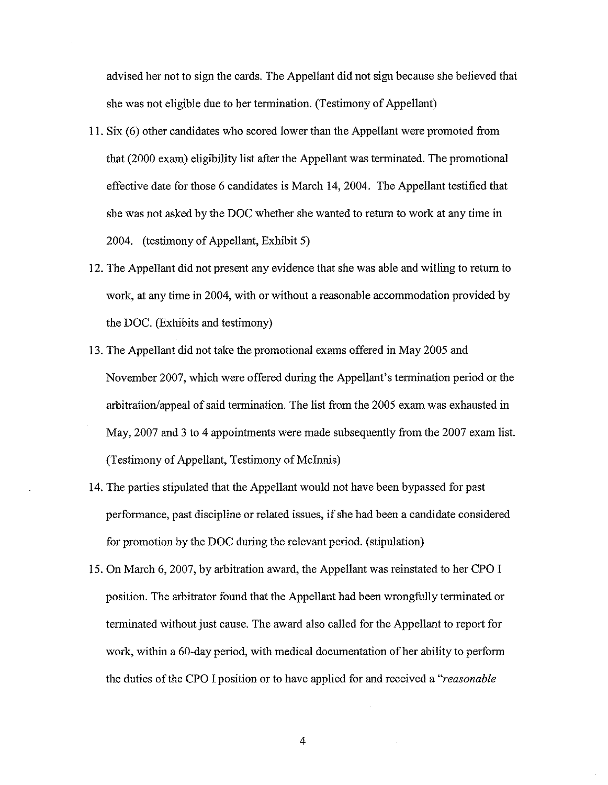advised her not to sign the cards. The Appellant did not sign because she believed that she was not eligible due to her termination. (Testimony of Appellant)

- 11. Six (6) other candidates who scored lower than the Appellant were promoted from that (2000 exam) eligibility list after the Appellant was terminated. The promotional effective date for those 6 candidates is March 14, 2004. The Appellant testified that she was not asked by the DOC whether she wanted to return to work at any time in 2004. (testimony of Appellant, Exhibit 5)
- 12. The Appellant did not present any evidence that she was able and willing to return to work, at any time in 2004, with or without a reasonable accommodation provided by the DOC. (Exhibits and testimony)
- 13. The Appellant did not take the promotional exams offered in May 2005 and November 2007, which were offered during the Appellant's termination period or the arbitration/appeal of said termination. The list from the 2005 exam was exhausted in May, 2007 and 3 to 4 appointments were made subsequently from the 2007 exam list. (Testimony of Appellant, Testimony of McInnis)
- 14. The parties stipulated that the Appellant would not have been bypassed for past performance, past discipline or related issues, if she had been a candidate considered for promotion by the DOC during the relevant period. (stipulation)
- 15. On March 6, 2007, by arbitration award, the Appellant was reinstated to her CPO I position. The arbitrator found that the Appellant had been wrongfully terminated or terminated without just cause. The award also called for the Appellant to report for work, within a 60-day period, with medical documentation of her ability to perform the duties of the CPO I position or to have applied for and received a *"reasonable*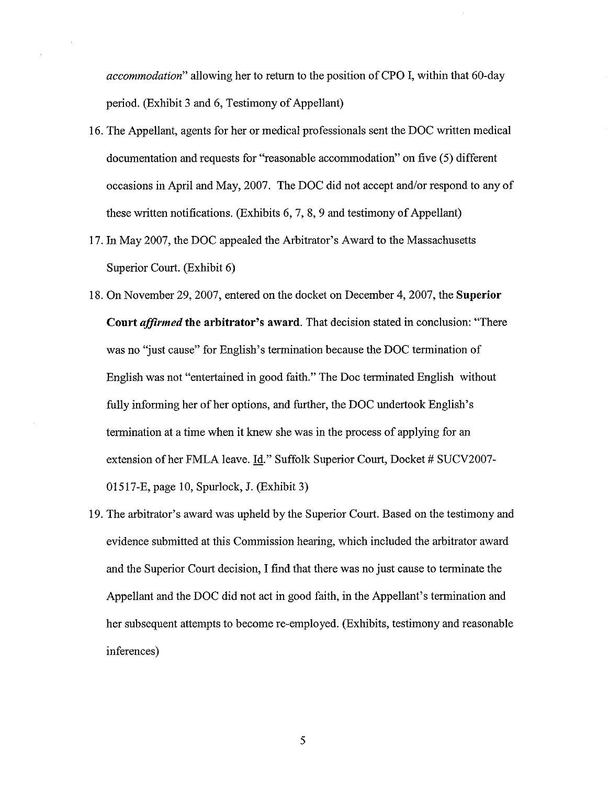*accommodation"* allowing her to return to the position of CPO I, within that 60-day period. (Exhibit 3 and 6, Testimony of Appellant)

- 16. The Appellant, agents for her or medical professionals sent the DOC written medical documentation and requests for "reasonable accommodation" on five (5) different occasions in April and May, 2007. The DOC did not accept and/or respond to any of these written notifications. (Exhibits 6, 7, 8, 9 and testimony of Appellant)
- 17. In May 2007, the DOC appealed the Arbitrator's A ward to the Massachusetts Superior Court. (Exhibit 6)
- 18. On November 29, 2007, entered on the docket on December 4, 2007, the **Superior Court** *affirmed* **the arbitrator's award.** That decision stated in conclusion: "There was no "just cause" for English's termination because the DOC termination of English was not "entertained in good faith." The Doc terminated English without fully informing her of her options, and further, the DOC undertook English's termination at a time when it knew she was in the process of applying for an extension of her FMLA leave. Id." Suffolk Superior Court, Docket # SUCV2007-01517-E, page 10, Spurlock, J. (Exhibit 3)
- 19. The arbitrator's award was upheld by the Superior Court. Based on the testimony and evidence submitted at this Commission hearing, which included the arbitrator award and the Superior Court decision, I find that there was no just cause to terminate the Appellant and the DOC did not act in good faith, in the Appellant's termination and her subsequent attempts to become re-employed. (Exhibits, testimony and reasonable inferences)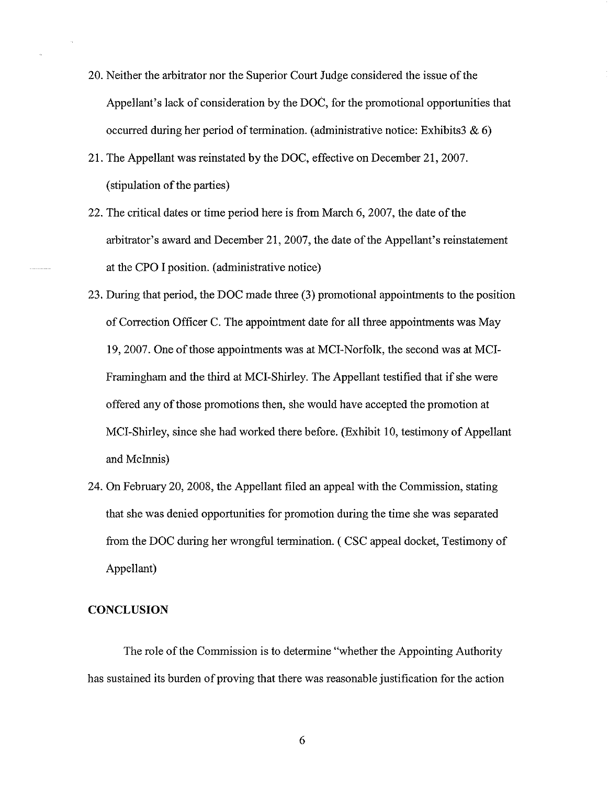- 20. Neither the arbitrator nor the Superior Court Judge considered the issue of the Appellant's lack of consideration by the DOC, for the promotional opportunities that occurred during her period of termination. (administrative notice: Exhibits3 & 6)
- 21. The Appellant was reinstated by the DOC, effective on December 21, 2007. ( stipulation of the parties)
- 22. The critical dates or time period here is from March 6, 2007, the date of the arbitrator's award and December 21, 2007, the date of the Appellant's reinstatement at the CPO I position. ( administrative notice)
- 23. During that period, the DOC made three (3) promotional appointments to the position of Correction Officer C. The appointment date for all three appointments was May 19, 2007. One of those appointments was at MCI-Norfolk, the second was at MCI-Framingham and the third at MCI-Shirley. The Appellant testified that if she were offered any of those promotions then, she would have accepted the promotion at MCI-Shirley, since she had worked there before. (Exhibit 10, testimony of Appellant and Mclnnis)
- 24. On February 20, 2008, the Appellant filed an appeal with the Commission, stating that she was denied opportunities for promotion during the time she was separated from the DOC during her wrongful termination. ( CSC appeal docket, Testimony of Appellant)

#### **CONCLUSION**

The role of the Commission is to determine "whether the Appointing Authority has sustained its burden of proving that there was reasonable justification for the action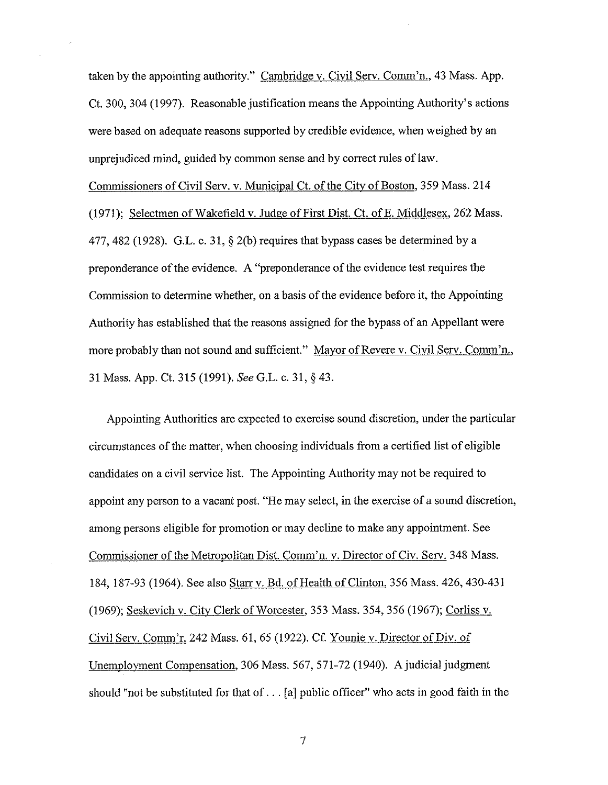taken by the appointing authority." Cambridge v. Civil Serv. Comm'n., 43 Mass. App. Ct. 300, 304 (1997). Reasonable justification means the Appointing Authority's actions were based on adequate reasons supported by credible evidence, when weighed by an unprejudiced mind, guided by common sense and by correct rules of law.

Commissioners of Civil Serv. v. Municipal Ct. of the City of Boston, 359 Mass. 214 (1971); Selectmen of Wakefield v. Judge of First Dist. Ct. ofE. Middlesex, 262 Mass. 477, 482 (1928). G.L. c. 31,  $\S$  2(b) requires that bypass cases be determined by a preponderance of the evidence. A "preponderance of the evidence test requires the Commission to determine whether, on a basis of the evidence before it, the Appointing Authority has established that the reasons assigned for the bypass of an Appellant were more probably than not sound and sufficient." Mayor of Revere v. Civil Serv. Comm'n., 31 Mass. App. Ct. 315 (1991). *SeeG.L.* c. 31, § 43.

Appointing Authorities are expected to exercise sound discretion, under the particular circumstances of the matter, when choosing individuals from a certified list of eligible candidates on a civil service list. The Appointing Authority may not be required to appoint any person to a vacant post. "He may select, in the exercise of a sound discretion, among persons eligible for promotion or may decline to make any appointment. See Commissioner of the Metropolitan Dist. Comm'n. v. Director of Civ. Serv. 348 Mass. 184, 187-93 (1964). See also Starr v. Bd. of Health of Clinton, 356 Mass. 426, 430-431 (1969); Seskevich v. City Clerk of Worcester, 353 Mass. 354,356 (1967); Corliss v. Civil Serv. Comm'r. 242 Mass. 61, 65 (1922). Cf. Younie v. Director of Div. of Unemployment Compensation, 306 Mass. 567, 571-72 (1940). A judicial judgment should "not be substituted for that of ... (a] public officer" who acts in good faith in the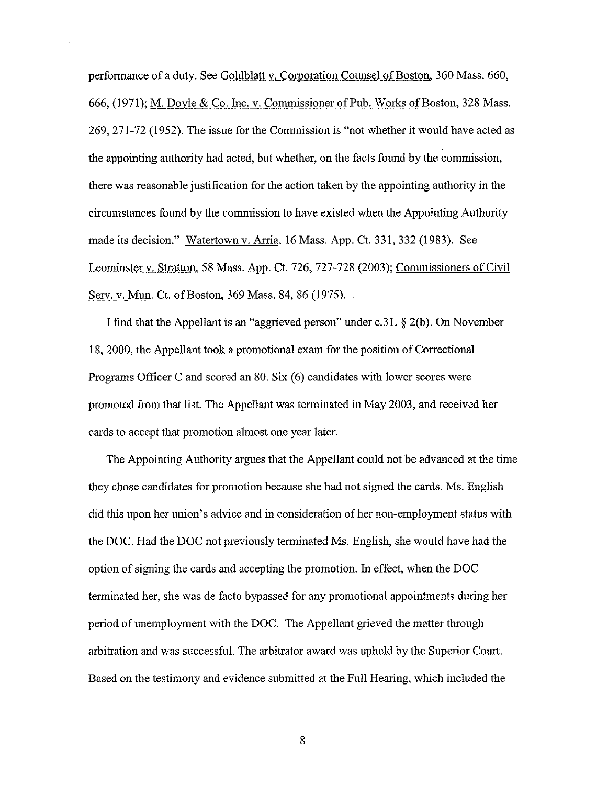performance of a duty. See Goldblatt v. Comoration Counsel of Boston, 360 Mass. 660, 666, (1971); M. Doyle & Co. Inc. v. Commissioner of Pub. Works of Boston, 328 Mass. 269, 271-72 (1952). The issue for the Commission is "not whether it would have acted as the appointing authority had acted, but whether, on the facts found by the commission, there was reasonable justification for the action taken by the appointing authority in the circumstances found by the commission to have existed when the Appointing Authority made its decision." Watertown v. Arria, 16 Mass. App. Ct. 331,332 (1983). See Leominster v. Stratton, 58 Mass. App. Ct. 726, 727-728 (2003); Commissioners of Civil Serv. v. Mun. Ct. of Boston, 369 Mass. 84, 86 (1975).

I find that the Appellant is an "aggrieved person" under c.31, § 2(b). On November 18, 2000, the Appellant took a promotional exam for the position of Correctional Programs Officer C and scored an 80. Six (6) candidates with lower scores were promoted from that list. The Appellant was terminated in May 2003, and received her cards to accept that promotion almost one year later.

The Appointing Authority argues that the Appellant could not be advanced at the time they chose candidates for promotion because she had not signed the cards. Ms. English did this upon her union's advice and in consideration of her non-employment status with the DOC. Had the DOC not previously terminated Ms. English, she would have had the option of signing the cards and accepting the promotion. In effect, when the DOC terminated her, she was de facto bypassed for any promotional appointments during her period of unemployment with the DOC. The Appellant grieved the matter through arbitration and was successful. The arbitrator award was upheld by the Superior Court. Based on the testimony and evidence submitted at the Full Hearing, which included the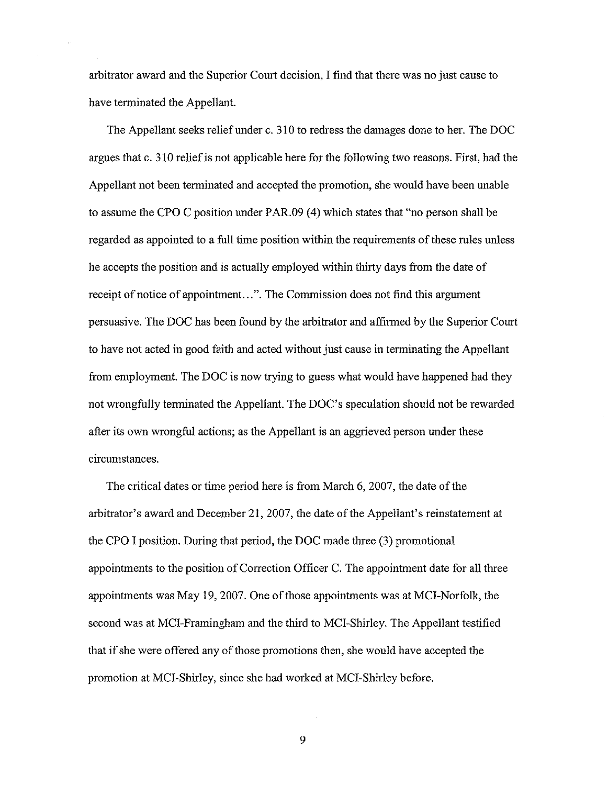arbitrator award and the Superior Court decision, I find that there was no just cause to have terminated the Appellant.

The Appellant seeks relief under c. 310 to redress the damages done to her. The DOC argues that c. 310 relief is not applicable here for the following two reasons. First, had the Appellant not been terminated and accepted the promotion, she would have been unable to assume the CPO C position under PAR.09 (4) which states that "no person shall be regarded as appointed to a full time position within the requirements of these rules unless he accepts the position and is actually employed within thirty days from the date of receipt of notice of appointment...". The Commission does not find this argument persuasive. The DOC has been found by the arbitrator and affirmed by the Superior Court to have not acted in good faith and acted without just cause in terminating the Appellant from employment. The DOC is now trying to guess what would have happened had they not wrongfully terminated the Appellant. The DOC's speculation should not be rewarded after its own wrongful actions; as the Appellant is an aggrieved person under these circumstances.

The critical dates or time period here is from March 6, 2007, the date of the arbitrator's award and December 21, 2007, the date of the Appellant's reinstatement at the CPO I position. During that period, the DOC made three (3) promotional appointments to the position of Correction Officer C. The appointment date for all three appointments was May 19, 2007. One of those appointments was at MCI-Norfolk, the second was at MCI-Framingham and the third to MCI-Shirley. The Appellant testified that if she were offered any of those promotions then, she would have accepted the promotion at MCI-Shirley, since she had worked at MCI-Shirley before.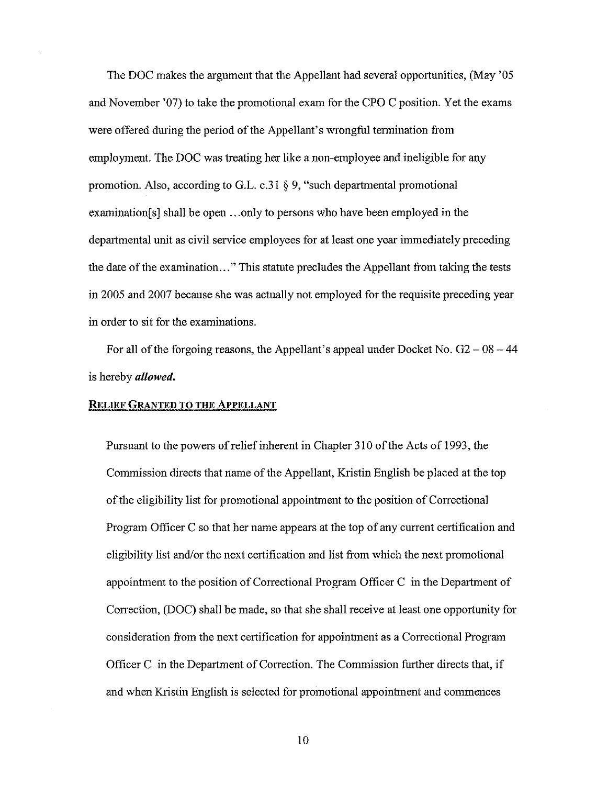The DOC makes the argument that the Appellant had several opportunities, (May '05 and November '07) to take the promotional exam for the CPO C position. Yet the exams were offered during the period of the Appellant's wrongful termination from employment. The DOC was treating her like a non-employee and ineligible for any promotion. Also, according to G.L. c.31 § 9, "such departmental promotional examination[ s] shall be open ... only to persons who have been employed in the departmental unit as civil service employees for at least one year immediately preceding the date of the examination ... " This statute precludes the Appellant from taking the tests in 2005 and 2007 because she was actually not employed for the requisite preceding year in order to sit for the examinations.

For all of the forgoing reasons, the Appellant's appeal under Docket No.  $G2 - 08 - 44$ is hereby *allowed.* 

## **RELIEF GRANTED TO THE APPELLANT**

Pursuant to the powers of relief inherent in Chapter 310 of the Acts of 1993, the Commission directs that name of the Appellant, Kristin English be placed at the top of the eligibility list for promotional appointment to the position of Correctional Program Officer C so that her name appears at the top of any current certification and eligibility list and/or the next certification and list from which the next promotional appointment to the position of Correctional Program Officer C in the Department of Correction, (DOC) shall be made, so that she shall receive at least one opportunity for consideration from the next certification for appointment as a Correctional Program Officer C in the Department of Correction. The Commission further directs that, if and when Kristin English is selected for promotional appointment and commences